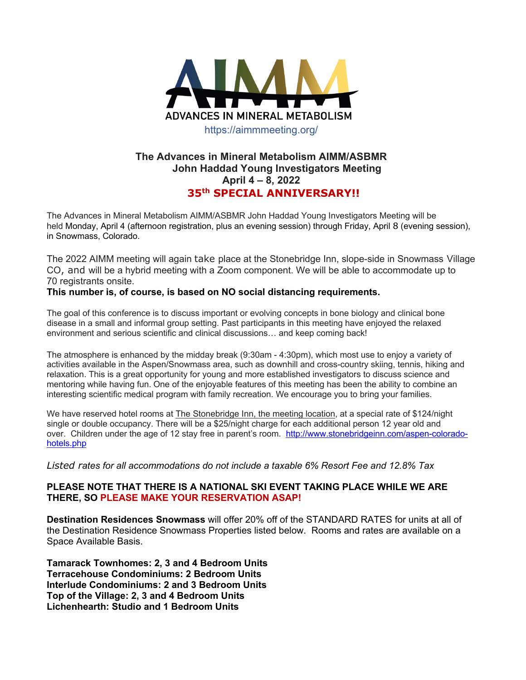

## **The Advances in Mineral Metabolism AIMM/ASBMR John Haddad Young Investigators Meeting April 4 – 8, 2022 35th SPECIAL ANNIVERSARY!!**

The Advances in Mineral Metabolism AIMM/ASBMR John Haddad Young Investigators Meeting will be held Monday, April 4 (afternoon registration, plus an evening session) through Friday, April 8 (evening session), in Snowmass, Colorado.

The 2022 AIMM meeting will again take place at the Stonebridge Inn, slope-side in Snowmass Village CO, and will be a hybrid meeting with a Zoom component. We will be able to accommodate up to 70 registrants onsite.

## **This number is, of course, is based on NO social distancing requirements.**

The goal of this conference is to discuss important or evolving concepts in bone biology and clinical bone disease in a small and informal group setting. Past participants in this meeting have enjoyed the relaxed environment and serious scientific and clinical discussions… and keep coming back!

The atmosphere is enhanced by the midday break (9:30am - 4:30pm), which most use to enjoy a variety of activities available in the Aspen/Snowmass area, such as downhill and cross-country skiing, tennis, hiking and relaxation. This is a great opportunity for young and more established investigators to discuss science and mentoring while having fun. One of the enjoyable features of this meeting has been the ability to combine an interesting scientific medical program with family recreation. We encourage you to bring your families.

We have reserved hotel rooms at The Stonebridge Inn, the meeting location, at a special rate of \$124/night single or double occupancy. There will be a \$25/night charge for each additional person 12 year old and over. Children under the age of 12 stay free in parent's room. http://www.stonebridgeinn.com/aspen-coloradohotels.php

*Listed rates for all accommodations do not include a taxable 6% Resort Fee and 12.8% Tax*

## **PLEASE NOTE THAT THERE IS A NATIONAL SKI EVENT TAKING PLACE WHILE WE ARE THERE, SO PLEASE MAKE YOUR RESERVATION ASAP!**

**Destination Residences Snowmass** will offer 20% off of the STANDARD RATES for units at all of the Destination Residence Snowmass Properties listed below. Rooms and rates are available on a Space Available Basis.

**Tamarack Townhomes: 2, 3 and 4 Bedroom Units Terracehouse Condominiums: 2 Bedroom Units Interlude Condominiums: 2 and 3 Bedroom Units Top of the Village: 2, 3 and 4 Bedroom Units Lichenhearth: Studio and 1 Bedroom Units**